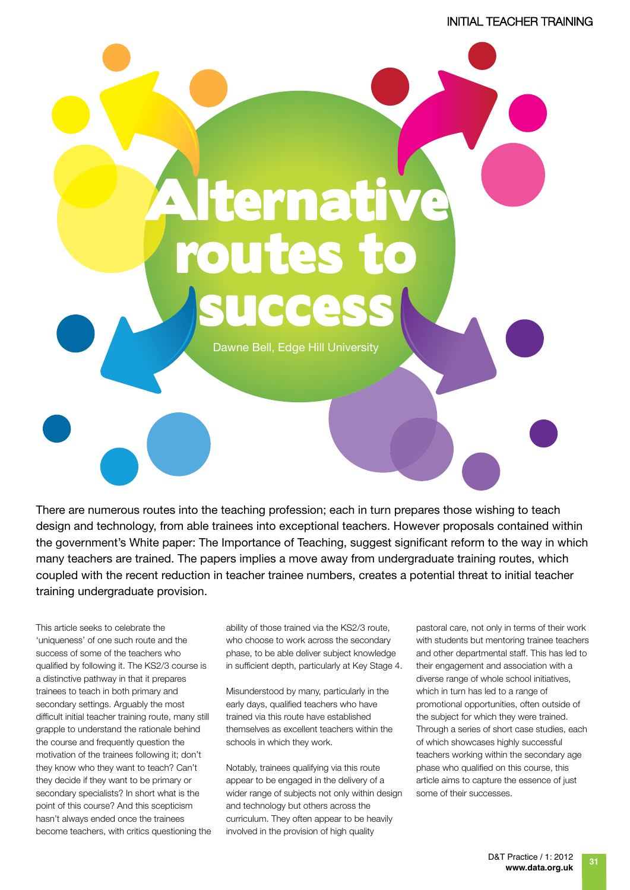## Alternative routes t ade es

Dawne Bell, Edge Hill University

There are numerous routes into the teaching profession; each in turn prepares those wishing to teach design and technology, from able trainees into exceptional teachers. However proposals contained within the government's White paper: The Importance of Teaching, suggest significant reform to the way in which many teachers are trained. The papers implies a move away from undergraduate training routes, which coupled with the recent reduction in teacher trainee numbers, creates a potential threat to initial teacher training undergraduate provision.

This article seeks to celebrate the 'uniqueness' of one such route and the success of some of the teachers who qualified by following it. The KS2/3 course is a distinctive pathway in that it prepares trainees to teach in both primary and secondary settings. Arguably the most difficult initial teacher training route, many still grapple to understand the rationale behind the course and frequently question the motivation of the trainees following it; don't they know who they want to teach? Can't they decide if they want to be primary or secondary specialists? In short what is the point of this course? And this scepticism hasn't always ended once the trainees become teachers, with critics questioning the

ability of those trained via the KS2/3 route, who choose to work across the secondary phase, to be able deliver subject knowledge in sufficient depth, particularly at Key Stage 4.

Misunderstood by many, particularly in the early days, qualified teachers who have trained via this route have established themselves as excellent teachers within the schools in which they work.

Notably, trainees qualifying via this route appear to be engaged in the delivery of a wider range of subjects not only within design and technology but others across the curriculum. They often appear to be heavily involved in the provision of high quality

pastoral care, not only in terms of their work with students but mentoring trainee teachers and other departmental staff. This has led to their engagement and association with a diverse range of whole school initiatives, which in turn has led to a range of promotional opportunities, often outside of the subject for which they were trained. Through a series of short case studies, each of which showcases highly successful teachers working within the secondary age phase who qualified on this course, this article aims to capture the essence of just some of their successes.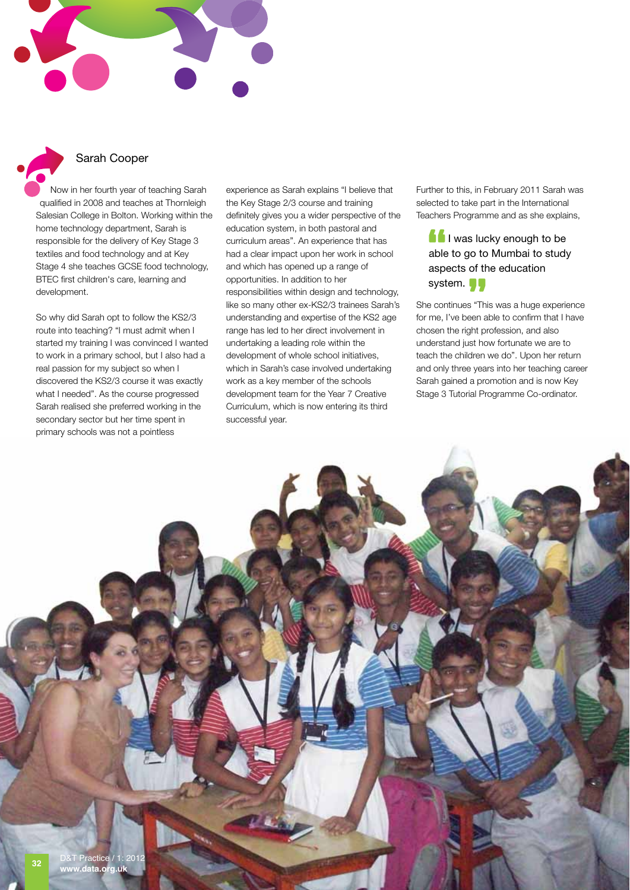



## Sarah Cooper

Now in her fourth year of teaching Sarah qualified in 2008 and teaches at Thornleigh Salesian College in Bolton. Working within the home technology department, Sarah is responsible for the delivery of Key Stage 3 textiles and food technology and at Key Stage 4 she teaches GCSE food technology, BTEC first children's care, learning and development.

So why did Sarah opt to follow the KS2/3 route into teaching? "I must admit when I started my training I was convinced I wanted to work in a primary school, but I also had a real passion for my subject so when I discovered the KS2/3 course it was exactly what I needed". As the course progressed Sarah realised she preferred working in the secondary sector but her time spent in primary schools was not a pointless

experience as Sarah explains "I believe that the Key Stage 2/3 course and training definitely gives you a wider perspective of the education system, in both pastoral and curriculum areas". An experience that has had a clear impact upon her work in school and which has opened up a range of opportunities. In addition to her responsibilities within design and technology, like so many other ex-KS2/3 trainees Sarah's understanding and expertise of the KS2 age range has led to her direct involvement in undertaking a leading role within the development of whole school initiatives, which in Sarah's case involved undertaking work as a key member of the schools development team for the Year 7 Creative Curriculum, which is now entering its third successful year.

Further to this, in February 2011 Sarah was selected to take part in the International Teachers Programme and as she explains,

I was lucky enough to be able to go to Mumbai to study aspects of the education system. **I** 

She continues "This was a huge experience for me, I've been able to confirm that I have chosen the right profession, and also understand just how fortunate we are to teach the children we do". Upon her return and only three years into her teaching career Sarah gained a promotion and is now Key Stage 3 Tutorial Programme Co-ordinator.

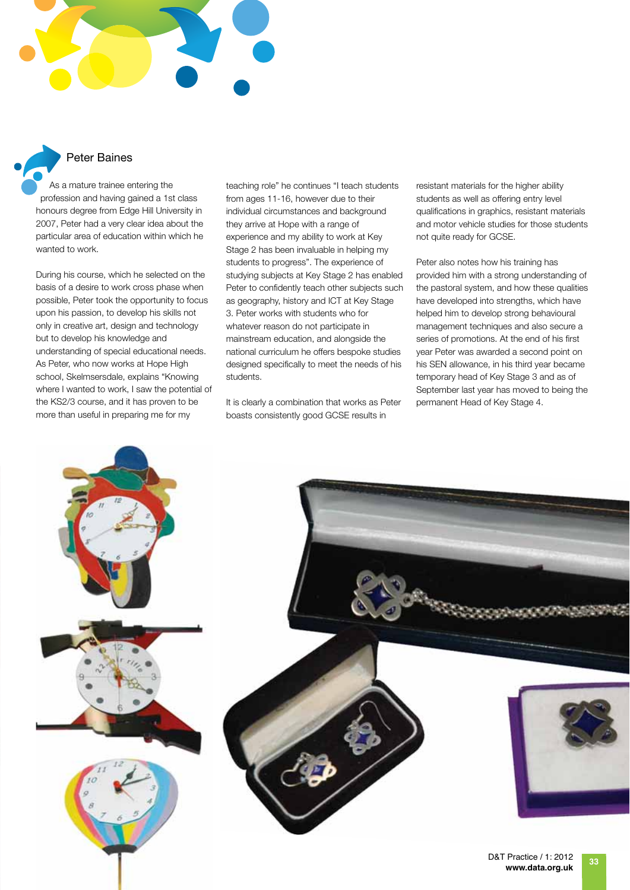



As a mature trainee entering the profession and having gained a 1st class honours degree from Edge Hill University in 2007, Peter had a very clear idea about the particular area of education within which he wanted to work.

During his course, which he selected on the basis of a desire to work cross phase when possible, Peter took the opportunity to focus upon his passion, to develop his skills not only in creative art, design and technology but to develop his knowledge and understanding of special educational needs. As Peter, who now works at Hope High school, Skelmsersdale, explains "Knowing where I wanted to work, I saw the potential of the KS2/3 course, and it has proven to be more than useful in preparing me for my

teaching role" he continues "I teach students from ages 11-16, however due to their individual circumstances and background they arrive at Hope with a range of experience and my ability to work at Key Stage 2 has been invaluable in helping my students to progress". The experience of studying subjects at Key Stage 2 has enabled Peter to confidently teach other subjects such as geography, history and ICT at Key Stage 3. Peter works with students who for whatever reason do not participate in mainstream education, and alongside the national curriculum he offers bespoke studies designed specifically to meet the needs of his students.

It is clearly a combination that works as Peter boasts consistently good GCSE results in

resistant materials for the higher ability students as well as offering entry level qualifications in graphics, resistant materials and motor vehicle studies for those students not quite ready for GCSE.

Peter also notes how his training has provided him with a strong understanding of the pastoral system, and how these qualities have developed into strengths, which have helped him to develop strong behavioural management techniques and also secure a series of promotions. At the end of his first year Peter was awarded a second point on his SEN allowance, in his third year became temporary head of Key Stage 3 and as of September last year has moved to being the permanent Head of Key Stage 4.

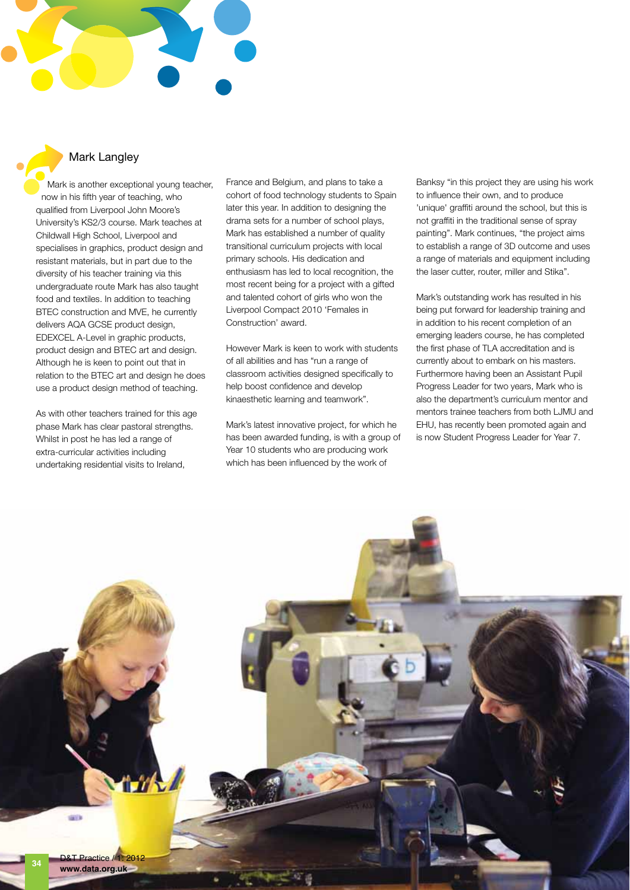

Mark is another exceptional young teacher, now in his fifth year of teaching, who qualified from Liverpool John Moore's University's KS2/3 course. Mark teaches at Childwall High School, Liverpool and specialises in graphics, product design and resistant materials, but in part due to the diversity of his teacher training via this undergraduate route Mark has also taught food and textiles. In addition to teaching BTEC construction and MVE, he currently delivers AQA GCSE product design, EDEXCEL A-Level in graphic products, product design and BTEC art and design. Although he is keen to point out that in relation to the BTEC art and design he does use a product design method of teaching.

As with other teachers trained for this age phase Mark has clear pastoral strengths. Whilst in post he has led a range of extra-curricular activities including undertaking residential visits to Ireland,

France and Belgium, and plans to take a cohort of food technology students to Spain later this year. In addition to designing the drama sets for a number of school plays, Mark has established a number of quality transitional curriculum projects with local primary schools. His dedication and enthusiasm has led to local recognition, the most recent being for a project with a gifted and talented cohort of girls who won the Liverpool Compact 2010 'Females in Construction' award.

However Mark is keen to work with students of all abilities and has "run a range of classroom activities designed specifically to help boost confidence and develop kinaesthetic learning and teamwork".

Mark's latest innovative project, for which he has been awarded funding, is with a group of Year 10 students who are producing work which has been influenced by the work of

Banksy "in this project they are using his work to influence their own, and to produce 'unique' graffiti around the school, but this is not graffiti in the traditional sense of spray painting". Mark continues, "the project aims to establish a range of 3D outcome and uses a range of materials and equipment including the laser cutter, router, miller and Stika".

Mark's outstanding work has resulted in his being put forward for leadership training and in addition to his recent completion of an emerging leaders course, he has completed the first phase of TLA accreditation and is currently about to embark on his masters. Furthermore having been an Assistant Pupil Progress Leader for two years, Mark who is also the department's curriculum mentor and mentors trainee teachers from both LJMU and EHU, has recently been promoted again and is now Student Progress Leader for Year 7.